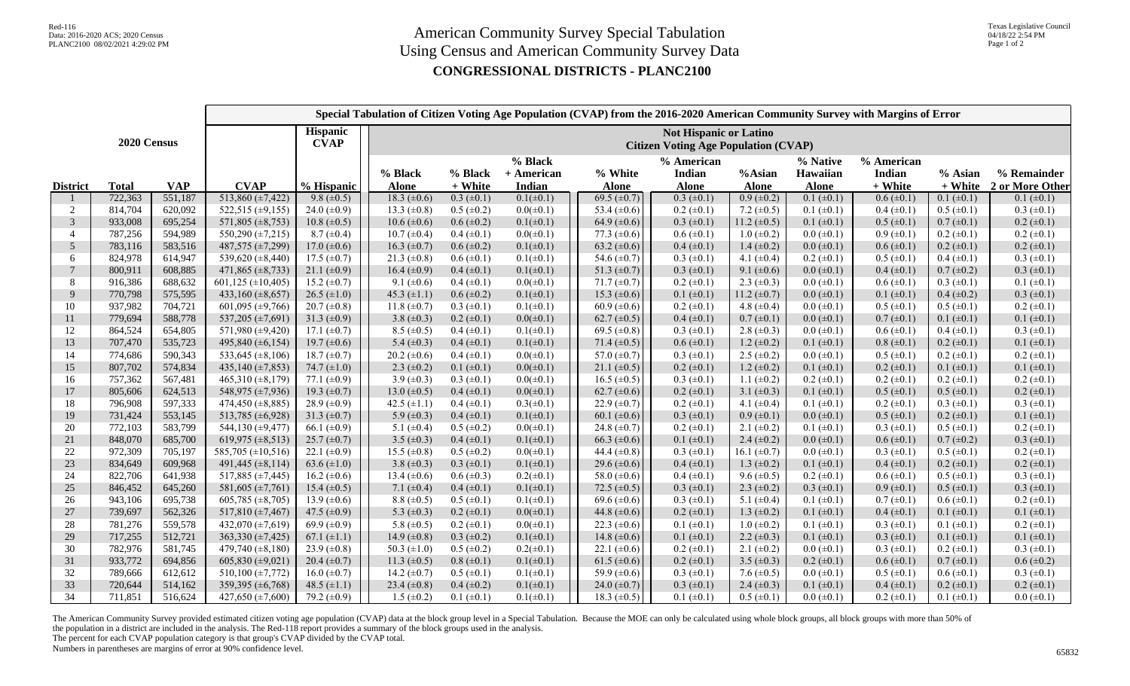|                 |              | Special Tabulation of Citizen Voting Age Population (CVAP) from the 2016-2020 American Community Survey with Margins of Error |                                    |                                |                                                                              |                    |                                   |                         |                                             |                        |                                      |                                     |                    |                                |
|-----------------|--------------|-------------------------------------------------------------------------------------------------------------------------------|------------------------------------|--------------------------------|------------------------------------------------------------------------------|--------------------|-----------------------------------|-------------------------|---------------------------------------------|------------------------|--------------------------------------|-------------------------------------|--------------------|--------------------------------|
| 2020 Census     |              |                                                                                                                               |                                    | <b>Hispanic</b><br><b>CVAP</b> | <b>Not Hispanic or Latino</b><br><b>Citizen Voting Age Population (CVAP)</b> |                    |                                   |                         |                                             |                        |                                      |                                     |                    |                                |
| <b>District</b> | <b>Total</b> | <b>VAP</b>                                                                                                                    | <b>CVAP</b>                        | % Hispanic                     | % Black<br><b>Alone</b>                                                      | % Black<br>+ White | $%$ Black<br>+ American<br>Indian | % White<br><b>Alone</b> | % American<br><b>Indian</b><br><b>Alone</b> | %Asian<br><b>Alone</b> | % Native<br>Hawaiian<br><b>Alone</b> | % American<br>Indian<br>$\pm$ White | % Asian<br>+ White | % Remainder<br>2 or More Other |
|                 | 722,363      | 551,187                                                                                                                       | 513,860 $(\pm 7, 422)$             | 9.8 $(\pm 0.5)$                | 18.3 $(\pm 0.6)$                                                             | $0.3 \ (\pm 0.1)$  | $0.1(\pm 0.1)$                    | 69.5 $(\pm 0.7)$        | $0.3 (\pm 0.1)$                             | $0.9 (\pm 0.2)$        | $0.1 (\pm 0.1)$                      | $0.6 (\pm 0.1)$                     | $0.1 (\pm 0.1)$    | $0.1 (\pm 0.1)$                |
| 2               | 814,704      | 620,092                                                                                                                       | $522,515 \ (\pm 9,155)$            | 24.0 $(\pm 0.9)$               | 13.3 $(\pm 0.8)$                                                             | $0.5 \ (\pm 0.2)$  | $0.0(\pm 0.1)$                    | 53.4 $(\pm 0.6)$        | $0.2 (\pm 0.1)$                             | 7.2 $(\pm 0.5)$        | $0.1 (\pm 0.1)$                      | $0.4 (\pm 0.1)$                     | $0.5 \ (\pm 0.1)$  | $0.3 \ (\pm 0.1)$              |
| 3               | 933,008      | 695,254                                                                                                                       | 571,805 (±8,753)                   | $10.8 (\pm 0.5)$               | $10.6 (\pm 0.6)$                                                             | $0.6 (\pm 0.2)$    | $0.1(\pm 0.1)$                    | 64.9 $(\pm 0.6)$        | $0.3 (\pm 0.1)$                             | 11.2 $(\pm 0.5)$       | $0.1 (\pm 0.1)$                      | $0.5 \ (\pm 0.1)$                   | $0.7 (\pm 0.1)$    | $0.2 \ (\pm 0.1)$              |
| $\overline{4}$  | 787,256      | 594,989                                                                                                                       | $\overline{550,290}$ (±7,215)      | $8.7 (\pm 0.4)$                | $10.7 (\pm 0.4)$                                                             | $0.4 (\pm 0.1)$    | $0.0(\pm 0.1)$                    | 77.3 $(\pm 0.6)$        | $0.6 (\pm 0.1)$                             | $1.0 \ (\pm 0.2)$      | $0.0$ ( $\pm 0.1$ )                  | $0.9 \ (\pm 0.1)$                   | $0.2 \ (\pm 0.1)$  | $0.2 \ (\pm 0.1)$              |
| 5               | 783,116      | 583,516                                                                                                                       | 487,575 (±7,299)                   | 17.0 $(\pm 0.6)$               | 16.3 $(\pm 0.7)$                                                             | $0.6 (\pm 0.2)$    | $0.1(\pm 0.1)$                    | 63.2 $(\pm 0.6)$        | $0.4 (\pm 0.1)$                             | 1.4 $(\pm 0.2)$        | $0.0 \ (\pm 0.1)$                    | $0.6 (\pm 0.1)$                     | $0.2 \ (\pm 0.1)$  | $0.2 \ (\pm 0.1)$              |
| 6               | 824,978      | 614,947                                                                                                                       | 539,620 (±8,440)                   | 17.5 $(\pm 0.7)$               | 21.3 $(\pm 0.8)$                                                             | $0.6 (\pm 0.1)$    | $0.1(\pm 0.1)$                    | 54.6 $(\pm 0.7)$        | $0.3 (\pm 0.1)$                             | 4.1 $(\pm 0.4)$        | $0.2 \ (\pm 0.1)$                    | $0.5 \ (\pm 0.1)$                   | $0.4 (\pm 0.1)$    | $0.3 \ (\pm 0.1)$              |
| $7\phantom{.0}$ | 800,911      | 608,885                                                                                                                       | 471,865 $(\pm 8,733)$              | 21.1 $(\pm 0.9)$               | 16.4 $(\pm 0.9)$                                                             | $0.4 (\pm 0.1)$    | $0.1(\pm 0.1)$                    | 51.3 $(\pm 0.7)$        | $0.3 \ (\pm 0.1)$                           | 9.1 $(\pm 0.6)$        | $0.0 \ (\pm 0.1)$                    | $0.4 (\pm 0.1)$                     | $0.7 (\pm 0.2)$    | $0.3 \ (\pm 0.1)$              |
| 8               | 916,386      | 688,632                                                                                                                       | 601,125 ( $\pm$ 10,405)            | 15.2 $(\pm 0.7)$               | 9.1 $(\pm 0.6)$                                                              | $0.4~(\pm 0.1)$    | $0.0(\pm 0.1)$                    | $71.7 (\pm 0.7)$        | $0.2 \ (\pm 0.1)$                           | 2.3 $(\pm 0.3)$        | $0.0 \ (\pm 0.1)$                    | $0.6 (\pm 0.1)$                     | $0.3 \ (\pm 0.1)$  | $0.1 (\pm 0.1)$                |
| 9               | 770,798      | 575,595                                                                                                                       | 433,160 $(\pm 8, 657)$             | $26.5 \ (\pm 1.0)$             | 45.3 $(\pm 1.1)$                                                             | $0.6 (\pm 0.2)$    | $0.1(\pm 0.1)$                    | 15.3 $(\pm 0.6)$        | $0.1 (\pm 0.1)$                             | 11.2 $(\pm 0.7)$       | $0.0 \ (\pm 0.1)$                    | $0.1 (\pm 0.1)$                     | $0.4 (\pm 0.2)$    | $0.3 \ (\pm 0.1)$              |
| 10              | 937,982      | 704,721                                                                                                                       | 601,095 ( $\pm$ 9,766)             | $20.7 (\pm 0.8)$               | 11.8 $(\pm 0.7)$                                                             | $0.3 \ (\pm 0.1)$  | $0.1(\pm 0.1)$                    | 60.9 $(\pm 0.6)$        | $0.2 (\pm 0.1)$                             | 4.8 $(\pm 0.4)$        | $0.0$ ( $\pm 0.1$ )                  | $0.5 (\pm 0.1)$                     | $0.5 (\pm 0.1)$    | $0.2 (\pm 0.1)$                |
| 11              | 779,694      | 588,778                                                                                                                       | 537,205 ( $\pm$ 7,691)             | 31.3 $(\pm 0.9)$               | 3.8 $(\pm 0.3)$                                                              | $0.2 \ (\pm 0.1)$  | $0.0(\pm 0.1)$                    | 62.7 $(\pm 0.5)$        | $0.4 (\pm 0.1)$                             | $0.7 (\pm 0.1)$        | $0.0 \ (\pm 0.1)$                    | $0.7 (\pm 0.1)$                     | $0.1 (\pm 0.1)$    | $0.1 (\pm 0.1)$                |
| 12              | 864,524      | 654,805                                                                                                                       | 571,980 (±9,420)                   | 17.1 $(\pm 0.7)$               | $8.5 \ (\pm 0.5)$                                                            | $0.4 (\pm 0.1)$    | $0.1(\pm 0.1)$                    | 69.5 ( $\pm$ 0.8)       | $0.3 (\pm 0.1)$                             | 2.8 $(\pm 0.3)$        | $0.0 \ (\pm 0.1)$                    | $0.6 (\pm 0.1)$                     | $0.4 (\pm 0.1)$    | $0.3 \ (\pm 0.1)$              |
| 13              | 707,470      | 535,723                                                                                                                       | 495,840 (±6,154)                   | 19.7 $(\pm 0.6)$               | 5.4 $(\pm 0.3)$                                                              | $0.4 (\pm 0.1)$    | $0.1(\pm 0.1)$                    | 71.4 $(\pm 0.5)$        | $0.6 (\pm 0.1)$                             | $1.2 \ (\pm 0.2)$      | $0.1 (\pm 0.1)$                      | $0.8 (\pm 0.1)$                     | $0.2 \ (\pm 0.1)$  | $0.1 (\pm 0.1)$                |
| 14              | 774,686      | 590,343                                                                                                                       | 533,645 $(\pm 8, 106)$             | 18.7 $(\pm 0.7)$               | 20.2 $(\pm 0.6)$                                                             | $0.4~(\pm 0.1)$    | $0.0(\pm 0.1)$                    | 57.0 $(\pm 0.7)$        | $0.3 (\pm 0.1)$                             | $2.5 \ (\pm 0.2)$      | $0.0 \ (\pm 0.1)$                    | $0.5 \ (\pm 0.1)$                   | $0.2 \ (\pm 0.1)$  | $0.2 (\pm 0.1)$                |
| 15              | 807,702      | 574,834                                                                                                                       | 435,140 $(\pm 7, 853)$             | 74.7 $(\pm 1.0)$               | 2.3 $(\pm 0.2)$                                                              | $0.1 (\pm 0.1)$    | $0.0(\pm 0.1)$                    | $21.1 \ (\pm 0.5)$      | $0.2 (\pm 0.1)$                             | 1.2 $(\pm 0.2)$        | $0.1 (\pm 0.1)$                      | $0.2 \ (\pm 0.1)$                   | $0.1 (\pm 0.1)$    | $0.1 (\pm 0.1)$                |
| 16              | 757,362      | 567,481                                                                                                                       | 465,310 $(\pm 8,179)$              | 77.1 $(\pm 0.9)$               | 3.9 $(\pm 0.3)$                                                              | $0.3 \ (\pm 0.1)$  | $0.0(\pm 0.1)$                    | 16.5 $(\pm 0.5)$        | $0.3 (\pm 0.1)$                             | 1.1 $(\pm 0.2)$        | $0.2 \ (\pm 0.1)$                    | $0.2 \ (\pm 0.1)$                   | $0.2 \ (\pm 0.1)$  | $0.2 \ (\pm 0.1)$              |
| 17              | 805,606      | 624,513                                                                                                                       | 548,975 (±7,936)                   | 19.3 $(\pm 0.7)$               | 13.0 $(\pm 0.5)$                                                             | $0.4 (\pm 0.1)$    | $0.0(\pm 0.1)$                    | 62.7 $(\pm 0.6)$        | $0.2 \ (\pm 0.1)$                           | 3.1 $(\pm 0.3)$        | $0.1 (\pm 0.1)$                      | $0.5 \ (\pm 0.1)$                   | $0.5 (\pm 0.1)$    | $0.2 \ (\pm 0.1)$              |
| 18              | 796,908      | 597,333                                                                                                                       | 474,450 $(\pm 8,885)$              | 28.9 $(\pm 0.9)$               | 42.5 $(\pm 1.1)$                                                             | $0.4~(\pm 0.1)$    | $0.3(\pm 0.1)$                    | 22.9 $(\pm 0.7)$        | $0.2 \ (\pm 0.1)$                           | 4.1 $(\pm 0.4)$        | $0.1 (\pm 0.1)$                      | $0.2 \ (\pm 0.1)$                   | $0.3 \ (\pm 0.1)$  | $0.3 (\pm 0.1)$                |
| 19              | 731,424      | 553,145                                                                                                                       | 513,785 $(\pm 6,928)$              | 31.3 $(\pm 0.7)$               | 5.9 $(\pm 0.3)$                                                              | $0.4~(\pm 0.1)$    | $0.1(\pm 0.1)$                    | 60.1 $(\pm 0.6)$        | $0.3 (\pm 0.1)$                             | $0.9 \ (\pm 0.1)$      | $0.0 \ (\pm 0.1)$                    | $0.5 (\pm 0.1)$                     | $0.2 \ (\pm 0.1)$  | $0.1 (\pm 0.1)$                |
| 20              | 772,103      | 583,799                                                                                                                       | 544,130 (±9,477)                   | 66.1 $(\pm 0.9)$               | 5.1 $(\pm 0.4)$                                                              | $0.5 \ (\pm 0.2)$  | $0.0(\pm 0.1)$                    | 24.8 $(\pm 0.7)$        | $0.2 (\pm 0.1)$                             | 2.1 $(\pm 0.2)$        | $0.1 (\pm 0.1)$                      | $0.3 \ (\pm 0.1)$                   | $0.5 \ (\pm 0.1)$  | $0.2 \ (\pm 0.1)$              |
| 21              | 848,070      | 685,700                                                                                                                       | 619,975 ( $\pm$ 8,513)             | $25.7 (\pm 0.7)$               | 3.5 $(\pm 0.3)$                                                              | $0.4 (\pm 0.1)$    | $0.1(\pm 0.1)$                    | 66.3 $(\pm 0.6)$        | $0.1 (\pm 0.1)$                             | 2.4 $(\pm 0.2)$        | $0.0 \ (\pm 0.1)$                    | $0.6 (\pm 0.1)$                     | $0.7 (\pm 0.2)$    | $0.3 \ (\pm 0.1)$              |
| 22              | 972,309      | 705,197                                                                                                                       | 585,705 (±10,516)                  | 22.1 $(\pm 0.9)$               | 15.5 $(\pm 0.8)$                                                             | $0.5 \ (\pm 0.2)$  | $0.0(\pm 0.1)$                    | 44.4 $(\pm 0.8)$        | $0.3 (\pm 0.1)$                             | 16.1 $(\pm 0.7)$       | $0.0 \ (\pm 0.1)$                    | $0.3 \ (\pm 0.1)$                   | $0.5 (\pm 0.1)$    | $0.2 \ (\pm 0.1)$              |
| 23              | 834,649      | 609,968                                                                                                                       | 491,445 (±8,114)                   | 63.6 $(\pm 1.0)$               | 3.8 $(\pm 0.3)$                                                              | $0.3 \ (\pm 0.1)$  | $0.1(\pm 0.1)$                    | 29.6 $(\pm 0.6)$        | $0.4 (\pm 0.1)$                             | 1.3 $(\pm 0.2)$        | $0.1 (\pm 0.1)$                      | $0.4 (\pm 0.1)$                     | $0.2 \ (\pm 0.1)$  | $0.2 \ (\pm 0.1)$              |
| 24              | 822,706      | 641,938                                                                                                                       | $\overline{517,885}$ (±7,445)      | 16.2 $(\pm 0.6)$               | 13.4 $(\pm 0.6)$                                                             | $0.6 (\pm 0.3)$    | $0.2(\pm 0.1)$                    | 58.0 $(\pm 0.6)$        | $0.4 (\pm 0.1)$                             | $9.6 \ (\pm 0.5)$      | $0.2 \ (\pm 0.1)$                    | $0.6 (\pm 0.1)$                     | $0.5 (\pm 0.1)$    | $0.3 (\pm 0.1)$                |
| 25              | 846,452      | 645,260                                                                                                                       | 581,605 $(\pm 7,761)$              | 15.4 $(\pm 0.5)$               | 7.1 $(\pm 0.4)$                                                              | $0.4 (\pm 0.1)$    | $0.1(\pm 0.1)$                    | 72.5 $(\pm 0.5)$        | $0.3 (\pm 0.1)$                             | 2.3 $(\pm 0.2)$        | $0.3 \ (\pm 0.1)$                    | $0.9 \ (\pm 0.1)$                   | $0.5 \ (\pm 0.1)$  | $0.3 \ (\pm 0.1)$              |
| 26              | 943,106      | 695,738                                                                                                                       | $605,785 \ (\pm 8,705)$            | 13.9 $(\pm 0.6)$               | $8.8 (\pm 0.5)$                                                              | $0.5 \ (\pm 0.1)$  | $0.1(\pm 0.1)$                    | 69.6 $(\pm 0.6)$        | $0.3 (\pm 0.1)$                             | 5.1 $(\pm 0.4)$        | $0.1 (\pm 0.1)$                      | $0.7 (\pm 0.1)$                     | $0.6 (\pm 0.1)$    | $0.2 \ (\pm 0.1)$              |
| 27              | 739,697      | 562,326                                                                                                                       | 517,810 (±7,467)                   | 47.5 $(\pm 0.9)$               | 5.3 $(\pm 0.3)$                                                              | $0.2 \ (\pm 0.1)$  | $0.0(\pm 0.1)$                    | 44.8 $(\pm 0.6)$        | $0.2 \ (\pm 0.1)$                           | 1.3 $(\pm 0.2)$        | $0.1 (\pm 0.1)$                      | $0.4 (\pm 0.1)$                     | $0.1 (\pm 0.1)$    | $0.1 (\pm 0.1)$                |
| 28              | 781,276      | 559,578                                                                                                                       | 432,070 $(\pm 7,619)$              | 69.9 $(\pm 0.9)$               | 5.8 $(\pm 0.5)$                                                              | $0.2 \ (\pm 0.1)$  | $0.0(\pm 0.1)$                    | 22.3 $(\pm 0.6)$        | $0.1 (\pm 0.1)$                             | $1.0 \ (\pm 0.2)$      | $0.1 (\pm 0.1)$                      | $0.3 \ (\pm 0.1)$                   | $0.1 (\pm 0.1)$    | $0.2 \ (\pm 0.1)$              |
| 29              | 717,255      | 512,721                                                                                                                       | 363,330 $(\pm 7, 425)$             | 67.1 $(\pm 1.1)$               | 14.9 $(\pm 0.8)$                                                             | $0.3 \ (\pm 0.2)$  | $0.1(\pm 0.1)$                    | 14.8 $(\pm 0.6)$        | $0.1 (\pm 0.1)$                             | 2.2 $(\pm 0.3)$        | $0.1 (\pm 0.1)$                      | $0.3 \ (\pm 0.1)$                   | $0.1 (\pm 0.1)$    | $0.1 (\pm 0.1)$                |
| 30              | 782,976      | 581,745                                                                                                                       | 479,740 $(\pm 8, 180)$             | 23.9 $(\pm 0.8)$               | 50.3 $(\pm 1.0)$                                                             | $0.5 \ (\pm 0.2)$  | $0.2(\pm 0.1)$                    | 22.1 $(\pm 0.6)$        | $0.2 (\pm 0.1)$                             | 2.1 $(\pm 0.2)$        | $0.0 (\pm 0.1)$                      | $0.3 \ (\pm 0.1)$                   | $0.2 \ (\pm 0.1)$  | $0.3 (\pm 0.1)$                |
| 31              | 933,772      | 694,856                                                                                                                       | 605,830 ( $\pm$ 9,021)             | $20.4 \ (\pm 0.7)$             | 11.3 $(\pm 0.5)$                                                             | $0.8 (\pm 0.1)$    | $0.1(\pm 0.1)$                    | 61.5 $(\pm 0.6)$        | $0.2 (\pm 0.1)$                             | 3.5 $(\pm 0.3)$        | $0.2 \ (\pm 0.1)$                    | $0.6 (\pm 0.1)$                     | $0.7 (\pm 0.1)$    | $0.6 (\pm 0.2)$                |
| 32              | 789,666      | 612,612                                                                                                                       | $\overline{510,}100 \ (\pm 7,772)$ | $16.0 \ (\pm 0.7)$             | 14.2 $(\pm 0.7)$                                                             | $0.5 \ (\pm 0.1)$  | $0.1(\pm 0.1)$                    | 59.9 $(\pm 0.6)$        | $0.3 \ (\pm 0.1)$                           | 7.6 $(\pm 0.5)$        | $0.0 \ (\pm 0.1)$                    | $0.5 \ (\pm 0.1)$                   | $0.6 (\pm 0.1)$    | $0.3 \ (\pm 0.1)$              |
| 33              | 720,644      | 514,162                                                                                                                       | 359,395 (±6,768)                   | 48.5 $(\pm 1.1)$               | 23.4 $(\pm 0.8)$                                                             | $0.4 (\pm 0.2)$    | $0.1(\pm 0.1)$                    | 24.0 $(\pm 0.7)$        | $0.3 \ (\pm 0.1)$                           | 2.4 $(\pm 0.3)$        | $0.1 (\pm 0.1)$                      | $0.4 (\pm 0.1)$                     | $0.2 \ (\pm 0.1)$  | $0.2 \ (\pm 0.1)$              |
| 34              | 711,851      | 516,624                                                                                                                       | 427,650 $(\pm 7,600)$              | 79.2 $(\pm 0.9)$               | $1.5 \ (\pm 0.2)$                                                            | $0.1 (\pm 0.1)$    | $0.1(\pm 0.1)$                    | 18.3 $(\pm 0.5)$        | $0.1 (\pm 0.1)$                             | $0.5 (\pm 0.1)$        | $0.0 \ (\pm 0.1)$                    | $0.2 \ (\pm 0.1)$                   | $0.1 (\pm 0.1)$    | $0.0 \ (\pm 0.1)$              |

The American Community Survey provided estimated citizen voting age population (CVAP) data at the block group level in a Special Tabulation. Because the MOE can only be calculated using whole block groups, all block groups

the population in a district are included in the analysis. The Red-118 report provides a summary of the block groups used in the analysis.

The percent for each CVAP population category is that group's CVAP divided by the CVAP total.

Numbers in parentheses are margins of error at 90% confidence level.